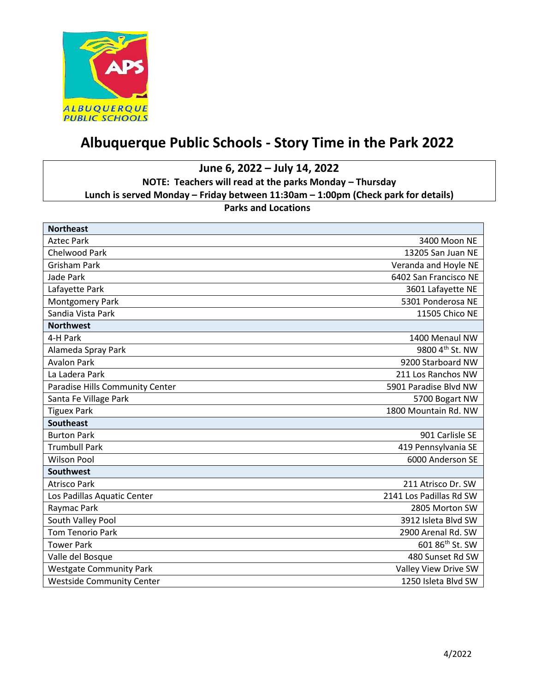

## **Albuquerque Public Schools - Story Time in the Park 2022**

**June 6, 2022 – July 14, 2022 NOTE: Teachers will read at the parks Monday – Thursday Lunch is served Monday – Friday between 11:30am – 1:00pm (Check park for details) Parks and Locations**

| <b>Northeast</b>                 |                             |
|----------------------------------|-----------------------------|
| <b>Aztec Park</b>                | 3400 Moon NE                |
| Chelwood Park                    | 13205 San Juan NE           |
| <b>Grisham Park</b>              | Veranda and Hoyle NE        |
| Jade Park                        | 6402 San Francisco NE       |
| Lafayette Park                   | 3601 Lafayette NE           |
| Montgomery Park                  | 5301 Ponderosa NE           |
| Sandia Vista Park                | 11505 Chico NE              |
| <b>Northwest</b>                 |                             |
| 4-H Park                         | 1400 Menaul NW              |
| Alameda Spray Park               | 9800 4th St. NW             |
| <b>Avalon Park</b>               | 9200 Starboard NW           |
| La Ladera Park                   | 211 Los Ranchos NW          |
| Paradise Hills Community Center  | 5901 Paradise Blvd NW       |
| Santa Fe Village Park            | 5700 Bogart NW              |
| <b>Tiguex Park</b>               | 1800 Mountain Rd. NW        |
| <b>Southeast</b>                 |                             |
| <b>Burton Park</b>               | 901 Carlisle SE             |
| <b>Trumbull Park</b>             | 419 Pennsylvania SE         |
| <b>Wilson Pool</b>               | 6000 Anderson SE            |
| <b>Southwest</b>                 |                             |
| <b>Atrisco Park</b>              | 211 Atrisco Dr. SW          |
| Los Padillas Aquatic Center      | 2141 Los Padillas Rd SW     |
| Raymac Park                      | 2805 Morton SW              |
| South Valley Pool                | 3912 Isleta Blvd SW         |
| <b>Tom Tenorio Park</b>          | 2900 Arenal Rd. SW          |
| <b>Tower Park</b>                | 601 86 <sup>th</sup> St. SW |
| Valle del Bosque                 | 480 Sunset Rd SW            |
| <b>Westgate Community Park</b>   | Valley View Drive SW        |
| <b>Westside Community Center</b> | 1250 Isleta Blvd SW         |